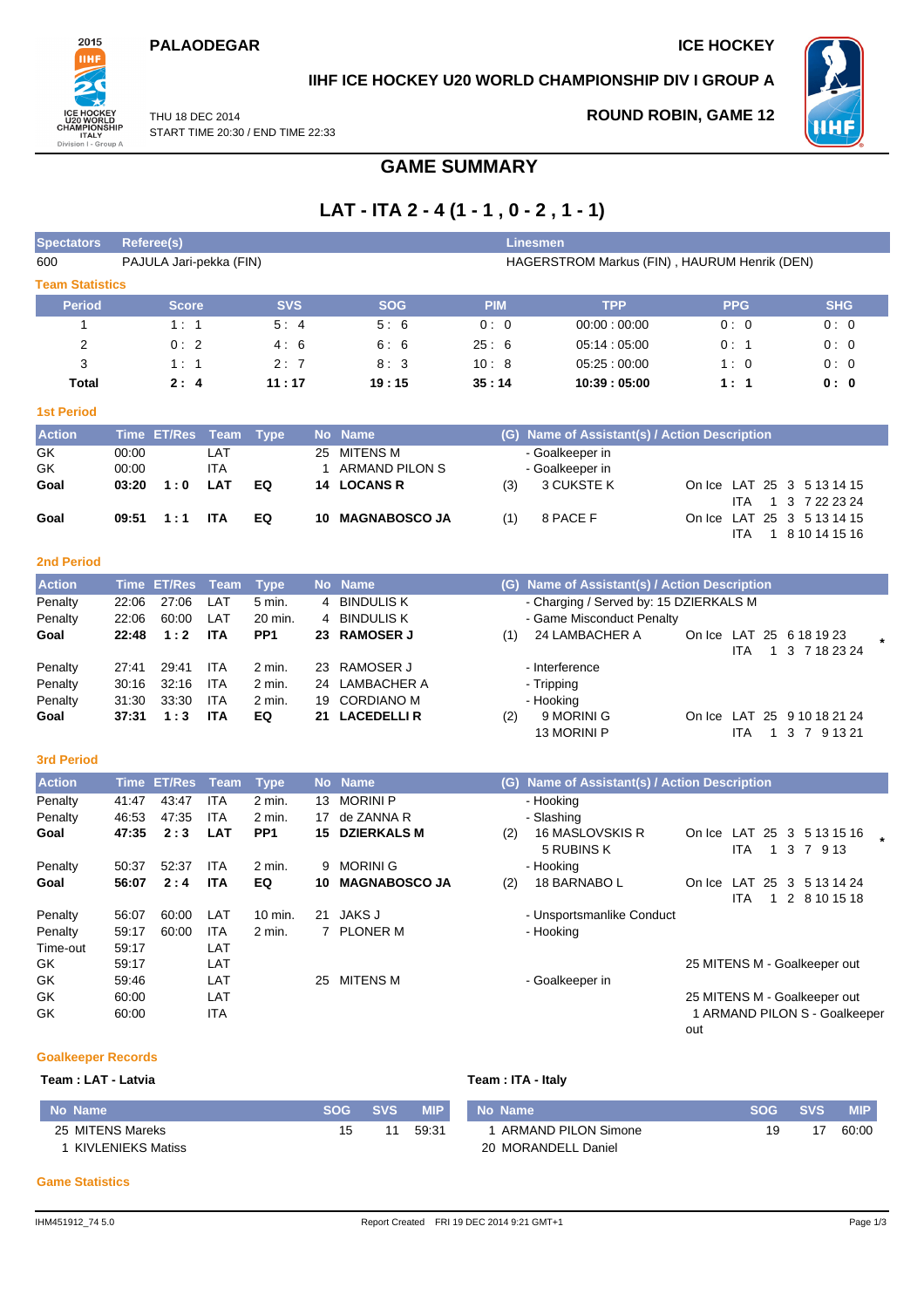### **PALAODEGAR ICE HOCKEY**



## **IIHF ICE HOCKEY U20 WORLD CHAMPIONSHIP DIV I GROUP A**

THU 18 DEC 2014 START TIME 20:30 / END TIME 22:33 **ROUND ROBIN, GAME 12**



## **GAME SUMMARY**

# **LAT - ITA 2 - 4 (1 - 1 , 0 - 2 , 1 - 1)**

| <b>Spectators</b>      | <b>Referee(s)</b><br><b>Linesmen</b>                                    |                    |                          |                 |              |                                         |            |                                               |            |                            |                                                               |  |
|------------------------|-------------------------------------------------------------------------|--------------------|--------------------------|-----------------|--------------|-----------------------------------------|------------|-----------------------------------------------|------------|----------------------------|---------------------------------------------------------------|--|
| 600                    | PAJULA Jari-pekka (FIN)<br>HAGERSTROM Markus (FIN), HAURUM Henrik (DEN) |                    |                          |                 |              |                                         |            |                                               |            |                            |                                                               |  |
| <b>Team Statistics</b> |                                                                         |                    |                          |                 |              |                                         |            |                                               |            |                            |                                                               |  |
| <b>Period</b>          |                                                                         | <b>Score</b>       |                          | <b>SVS</b>      |              | <b>SOG</b>                              | <b>PIM</b> | <b>TPP</b>                                    | <b>PPG</b> |                            | <b>SHG</b>                                                    |  |
| $\mathbf{1}$           |                                                                         | 1:1                |                          | 5:4             |              | 5:6                                     | 0:0        | 00:00:00:00                                   | 0:0        |                            | 0:0                                                           |  |
| $\overline{2}$         |                                                                         | 0:2                |                          | 4:6             |              | 6:6                                     | 25:6       | 05:14:05:00                                   | 0:1        |                            | 0:0                                                           |  |
| 3                      |                                                                         | 1:1                |                          | 2:7             |              | 8:3                                     | 10:8       | 05.25:00:00                                   | 1:0        |                            | 0:0                                                           |  |
| <b>Total</b>           |                                                                         | 2:4                |                          | 11:17           |              | 19:15                                   | 35:14      | 10:39:05:00                                   | 1:1        |                            | 0: 0                                                          |  |
| <b>1st Period</b>      |                                                                         |                    |                          |                 |              |                                         |            |                                               |            |                            |                                                               |  |
| <b>Action</b>          | <b>Time</b>                                                             | <b>ET/Res</b>      | <b>Team</b>              | <b>Type</b>     |              | No Name                                 |            | (G) Name of Assistant(s) / Action Description |            |                            |                                                               |  |
| GK                     | 00:00                                                                   |                    | LAT                      |                 | 25           | <b>MITENS M</b>                         |            | - Goalkeeper in                               |            |                            |                                                               |  |
| GK                     | 00:00                                                                   |                    | ITA                      |                 | $\mathbf{1}$ | <b>ARMAND PILON S</b>                   |            | - Goalkeeper in                               |            |                            |                                                               |  |
| Goal                   | 03:20                                                                   | 1:0                | <b>LAT</b>               | EQ              | 14           | <b>LOCANS R</b>                         | (3)        | 3 CUKSTE K                                    |            |                            | On Ice LAT 25 3 5 13 14 15                                    |  |
|                        |                                                                         |                    |                          |                 |              |                                         |            |                                               |            | <b>ITA</b><br>$\mathbf{1}$ | 3 7 22 23 24                                                  |  |
| Goal                   | 09:51                                                                   | 1:1                | <b>ITA</b>               | EQ              | 10           | <b>MAGNABOSCO JA</b>                    | (1)        | 8 PACE F                                      |            |                            | On Ice LAT 25 3 5 13 14 15                                    |  |
|                        |                                                                         |                    |                          |                 |              |                                         |            |                                               |            | <b>ITA</b>                 | 1 8 10 14 15 16                                               |  |
| <b>2nd Period</b>      |                                                                         |                    |                          |                 |              |                                         |            |                                               |            |                            |                                                               |  |
| <b>Action</b>          | <b>Time</b>                                                             | <b>ET/Res</b>      | <b>Team</b>              | <b>Type</b>     |              | No Name                                 |            | (G) Name of Assistant(s) / Action Description |            |                            |                                                               |  |
| Penalty                | 22:06                                                                   | 27:06              | LAT                      | 5 min.          | 4            | <b>BINDULIS K</b>                       |            | - Charging / Served by: 15 DZIERKALS M        |            |                            |                                                               |  |
| Penalty                | 22:06                                                                   | 60:00              | LAT                      | 20 min.         | 4            | <b>BINDULIS K</b>                       |            | - Game Misconduct Penalty                     |            |                            |                                                               |  |
| Goal                   | 22:48                                                                   | 1:2                | <b>ITA</b>               | PP <sub>1</sub> | 23           | <b>RAMOSER J</b>                        | (1)        | 24 LAMBACHER A                                |            |                            | On Ice LAT 25 6 18 19 23                                      |  |
|                        |                                                                         |                    |                          |                 |              |                                         |            |                                               |            | <b>ITA</b>                 | 1 3 7 18 23 24                                                |  |
| Penalty                | 27:41                                                                   | 29:41              | <b>ITA</b>               | $2$ min.        | 23           | <b>RAMOSER J</b>                        |            | - Interference                                |            |                            |                                                               |  |
| Penalty                | 30:16                                                                   | 32:16              | <b>ITA</b>               | 2 min.          | 24           | <b>LAMBACHER A</b>                      |            | - Tripping                                    |            |                            |                                                               |  |
| Penalty<br>Goal        | 31:30<br>37:31                                                          | 33:30<br>1:3       | <b>ITA</b><br><b>ITA</b> | 2 min.<br>EQ    | 19<br>21     | <b>CORDIANO M</b><br><b>LACEDELLI R</b> | (2)        | - Hooking<br>9 MORINI G                       |            |                            | On Ice LAT 25 9 10 18 21 24                                   |  |
|                        |                                                                         |                    |                          |                 |              |                                         |            | 13 MORINI P                                   |            | <b>ITA</b>                 | 1 3 7 9 13 21                                                 |  |
|                        |                                                                         |                    |                          |                 |              |                                         |            |                                               |            |                            |                                                               |  |
| <b>3rd Period</b>      |                                                                         |                    |                          |                 |              |                                         |            |                                               |            |                            |                                                               |  |
| <b>Action</b>          |                                                                         | <b>Time ET/Res</b> | <b>Team</b>              | <b>Type</b>     |              | No Name                                 |            | (G) Name of Assistant(s) / Action Description |            |                            |                                                               |  |
| Penalty                | 41:47                                                                   | 43:47              | <b>ITA</b>               | 2 min.          | 13           | <b>MORINI P</b>                         |            | - Hooking                                     |            |                            |                                                               |  |
| Penalty                | 46:53                                                                   | 47:35              | <b>ITA</b>               | 2 min.          | 17           | de ZANNA R                              |            | - Slashing                                    |            |                            |                                                               |  |
| Goal                   | 47:35                                                                   | 2:3                | LAT                      | PP <sub>1</sub> | 15           | <b>DZIERKALS M</b>                      | (2)        | 16 MASLOVSKIS R<br>5 RUBINS K                 |            | <b>ITA</b>                 | On Ice LAT 25 3 5 13 15 16<br>1 3 7 9 13                      |  |
| Penalty                | 50:37                                                                   | 52:37              | <b>ITA</b>               | 2 min.          | 9            | <b>MORINIG</b>                          |            | - Hooking                                     |            |                            |                                                               |  |
| Goal                   | 56:07                                                                   | 2:4                | <b>ITA</b>               | EQ              | 10           | <b>MAGNABOSCO JA</b>                    | (2)        | 18 BARNABO L                                  |            | <b>ITA</b>                 | On Ice LAT 25 3 5 13 14 24<br>1 2 8 10 15 18                  |  |
| Penalty                | 56:07                                                                   | 60:00              | LAT                      | 10 min.         | 21           | <b>JAKS J</b>                           |            | - Unsportsmanlike Conduct                     |            |                            |                                                               |  |
| Penalty                | 59:17                                                                   | 60:00              | <b>ITA</b>               | 2 min.          |              | 7 PLONER M                              |            | - Hooking                                     |            |                            |                                                               |  |
| Time-out               | 59:17                                                                   |                    | LAT                      |                 |              |                                         |            |                                               |            |                            |                                                               |  |
| GK                     | 59:17                                                                   |                    | LAT                      |                 |              |                                         |            |                                               |            |                            | 25 MITENS M - Goalkeeper out                                  |  |
| GK                     | 59:46                                                                   |                    | LAT                      |                 |              | 25 MITENS M                             |            | - Goalkeeper in                               |            |                            |                                                               |  |
| GK                     | 60:00<br>60:00                                                          |                    | LAT<br>ITA               |                 |              |                                         |            |                                               |            |                            | 25 MITENS M - Goalkeeper out<br>1 ARMAND PILON S - Goalkeeper |  |
| GK                     |                                                                         |                    |                          |                 |              |                                         |            |                                               |            |                            |                                                               |  |

### **Goalkeeper Records**

**Team : LAT - Latvia Team : ITA - Italy No Name SOG SVS MIP** 25 MITENS Mareks 1 KIVLENIEKS Matiss 15 11 59:31 **No Name SOG SVS MIP** 1 ARMAND PILON Simone 20 MORANDELL Daniel 19 17 60:00

#### **Game Statistics**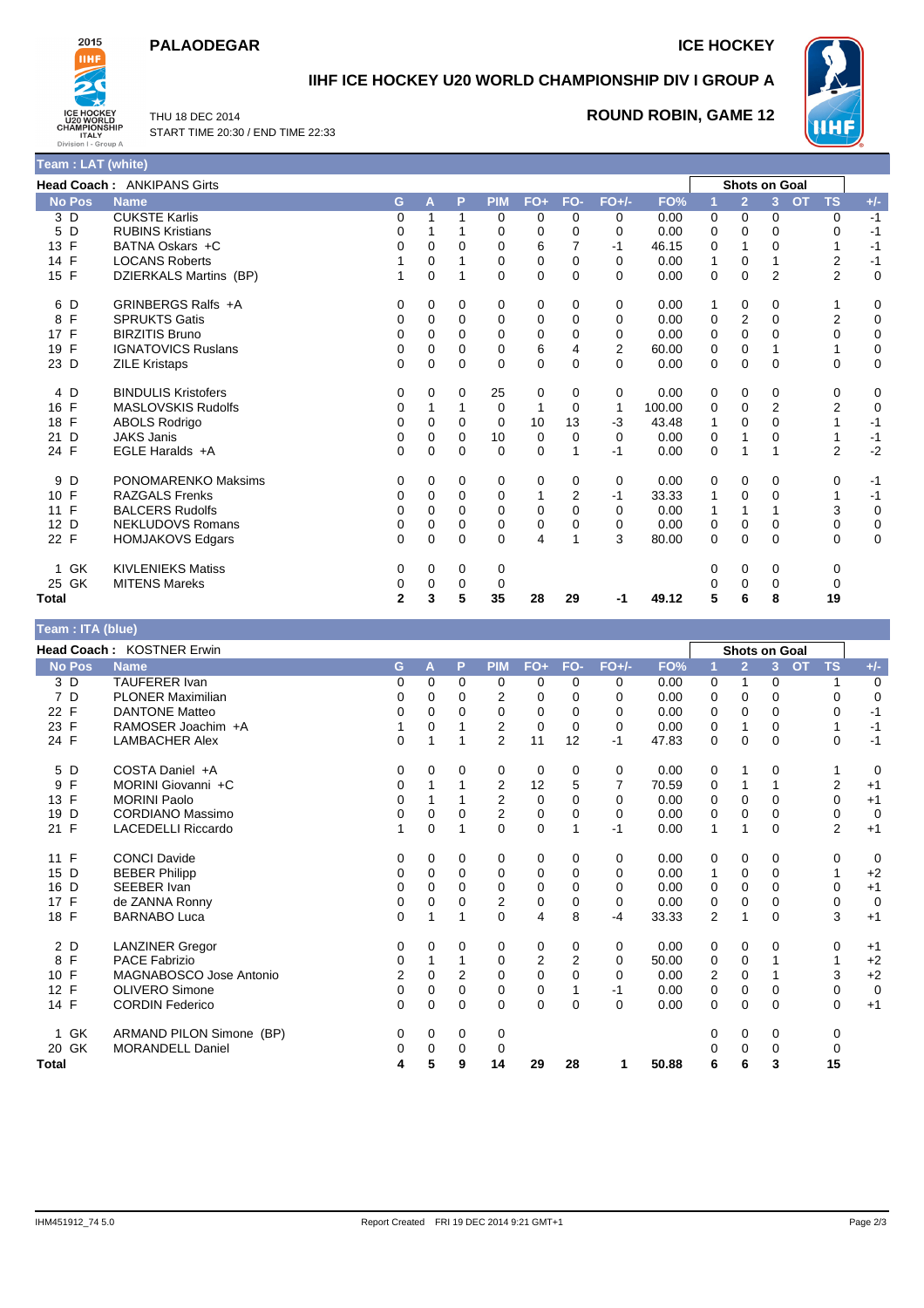### **PALAODEGAR ICE HOCKEY**



**Team : LAT (white)**

# **IIHF ICE HOCKEY U20 WORLD CHAMPIONSHIP DIV I GROUP A**

THU 18 DEC 2014 START TIME 20:30 / END TIME 22:33 **ROUND ROBIN, GAME 12**



|               | <b>Head Coach: ANKIPANS Girts</b> |              |             |          |            |       |                |                |        |             | <b>Shots on Goal</b> |                |                        |                               |
|---------------|-----------------------------------|--------------|-------------|----------|------------|-------|----------------|----------------|--------|-------------|----------------------|----------------|------------------------|-------------------------------|
| <b>No Pos</b> | <b>Name</b>                       | G.           | A           | P        | <b>PIM</b> | $FO+$ | FO-            | $FO+/-$        | FO%    | и           | $\overline{2}$       | $\overline{3}$ | <b>TS</b><br><b>OT</b> | $+/-$                         |
| 3 D           | <b>CUKSTE Karlis</b>              | 0            |             |          | 0          | 0     | 0              | 0              | 0.00   | 0           | 0                    | 0              |                        | 0<br>$-1$                     |
| D<br>5        | <b>RUBINS Kristians</b>           | 0            |             |          | 0          | 0     | $\Omega$       | $\Omega$       | 0.00   | 0           | $\Omega$             | 0              |                        | $-1$<br>$\Omega$              |
| 13 F          | BATNA Oskars +C                   | 0            | 0           | 0        | 0          | 6     | 7              | $-1$           | 46.15  | 0           | 1                    | 0              |                        | $-1$                          |
| 14 F          | <b>LOCANS Roberts</b>             |              | $\Omega$    |          | 0          | 0     | 0              | 0              | 0.00   |             | $\mathbf 0$          |                |                        | 2<br>$-1$                     |
| 15 F          | DZIERKALS Martins (BP)            | 1            | $\mathbf 0$ |          | 0          | 0     | 0              | $\Omega$       | 0.00   | 0           | $\mathbf 0$          | $\overline{2}$ |                        | $\overline{2}$<br>$\mathbf 0$ |
| 6 D           | GRINBERGS Ralfs +A                | 0            | 0           | 0        | 0          | 0     | 0              | 0              | 0.00   | 1           | 0                    | 0              |                        | 0<br>1                        |
| F<br>8        | <b>SPRUKTS Gatis</b>              | 0            | $\Omega$    | 0        | 0          | 0     | $\Omega$       | $\Omega$       | 0.00   | 0           | 2                    | 0              |                        | 2<br>0                        |
| 17 F          | <b>BIRZITIS Bruno</b>             | 0            | 0           | 0        | 0          | 0     | 0              | 0              | 0.00   | 0           | 0                    | 0              |                        | 0<br>$\mathbf 0$              |
| F<br>19       | <b>IGNATOVICS Ruslans</b>         | 0            | 0           | $\Omega$ | 0          | 6     | 4              | $\overline{2}$ | 60.00  | 0           | $\mathbf 0$          |                |                        | 0<br>1                        |
| 23 D          | <b>ZILE Kristaps</b>              | 0            | $\Omega$    | 0        | $\Omega$   | 0     | $\mathbf{0}$   | $\Omega$       | 0.00   | 0           | $\mathbf 0$          | 0              |                        | $\mathbf 0$<br>$\mathbf 0$    |
| 4 D           | <b>BINDULIS Kristofers</b>        | 0            | $\Omega$    | 0        | 25         | 0     | 0              | 0              | 0.00   | 0           | 0                    | 0              |                        | 0<br>0                        |
| 16 F          | <b>MASLOVSKIS Rudolfs</b>         | 0            |             |          | 0          | 1     | $\Omega$       | $\mathbf 1$    | 100.00 | 0           | 0                    | $\overline{2}$ |                        | $\overline{2}$<br>0           |
| 18 F          | <b>ABOLS Rodrigo</b>              | 0            | 0           | 0        | 0          | 10    | 13             | $-3$           | 43.48  |             | $\mathbf 0$          | 0              |                        | $-1$                          |
| D<br>21       | <b>JAKS Janis</b>                 | 0            | $\Omega$    | $\Omega$ | 10         | 0     | 0              | $\Omega$       | 0.00   | 0           | 1                    | 0              |                        | $-1$<br>1                     |
| 24 F          | EGLE Haralds +A                   | 0            | 0           | 0        | 0          | 0     |                | $-1$           | 0.00   | $\mathbf 0$ |                      |                |                        | $-2$<br>$\overline{2}$        |
| 9 D           | <b>PONOMARENKO Maksims</b>        | 0            | 0           | 0        | 0          | 0     | 0              | 0              | 0.00   | 0           | 0                    | 0              |                        | 0<br>$-1$                     |
| 10 F          | <b>RAZGALS Frenks</b>             | 0            | $\Omega$    | $\Omega$ | 0          | 1     | $\overline{2}$ | $-1$           | 33.33  | 1           | 0                    | $\Omega$       |                        | 1<br>$-1$                     |
| F<br>11       | <b>BALCERS Rudolfs</b>            | 0            | $\Omega$    | $\Omega$ | 0          | 0     | 0              | $\Omega$       | 0.00   |             | 1                    |                |                        | 3<br>0                        |
| 12 D          | <b>NEKLUDOVS Romans</b>           | 0            | 0           | 0        | 0          | 0     | 0              | 0              | 0.00   | $\mathbf 0$ | 0                    | 0              |                        | $\mathsf 0$<br>0              |
| 22 F          | <b>HOMJAKOVS Edgars</b>           | 0            | $\Omega$    | $\Omega$ | $\Omega$   | 4     |                | 3              | 80.00  | $\Omega$    | $\Omega$             | $\Omega$       |                        | $\mathbf 0$<br>$\mathbf 0$    |
| GK<br>1       | <b>KIVLENIEKS Matiss</b>          | 0            | 0           | 0        | 0          |       |                |                |        | 0           | $\mathbf 0$          | 0              |                        | 0                             |
| 25 GK         | <b>MITENS Mareks</b>              | 0            | 0           | 0        | 0          |       |                |                |        |             | 0                    | 0              |                        | 0                             |
| <b>Total</b>  |                                   | $\mathbf{2}$ | 3           | 5        | 35         | 28    | 29             | -1             | 49.12  | 5           | 6                    | 8              | 19                     |                               |

| Team : ITA (blue) |                           |          |          |             |                |       |                |          |       |                |                      |                |           |                |             |
|-------------------|---------------------------|----------|----------|-------------|----------------|-------|----------------|----------|-------|----------------|----------------------|----------------|-----------|----------------|-------------|
|                   | Head Coach: KOSTNER Erwin |          |          |             |                |       |                |          |       |                | <b>Shots on Goal</b> |                |           |                |             |
| <b>No Pos</b>     | <b>Name</b>               | G        | A        | P           | <b>PIM</b>     | $FO+$ | FO-            | $FO+/-$  | FO%   |                | $\overline{2}$       | $\overline{3}$ | <b>OT</b> | <b>TS</b>      | $+/-$       |
| 3 D               | <b>TAUFERER Ivan</b>      | 0        | $\Omega$ | 0           | 0              | 0     | 0              | 0        | 0.00  | 0              | 1                    | 0              |           |                | 0           |
| 7 D               | <b>PLONER Maximilian</b>  | $\Omega$ | $\Omega$ | $\Omega$    | 2              | 0     | 0              | 0        | 0.00  | 0              | $\Omega$             | 0              |           | 0              | $\mathbf 0$ |
| F<br>22           | <b>DANTONE Matteo</b>     | 0        | 0        | 0           | 0              | 0     | 0              | 0        | 0.00  | 0              | 0                    | 0              |           | 0              | $-1$        |
| 23 F              | RAMOSER Joachim +A        |          | $\Omega$ |             | $\overline{2}$ | 0     | $\Omega$       | $\Omega$ | 0.00  | 0              | 1                    | 0              |           |                | $-1$        |
| 24 F              | <b>LAMBACHER Alex</b>     | $\Omega$ | 1        |             | $\overline{2}$ | 11    | 12             | $-1$     | 47.83 | 0              | 0                    | 0              |           | 0              | $-1$        |
| 5<br>D            | COSTA Daniel +A           | 0        | $\Omega$ | 0           | 0              | 0     | 0              | 0        | 0.00  | 0              | 1                    | 0              |           |                | 0           |
| F<br>9            | MORINI Giovanni +C        | 0        |          |             | 2              | 12    | 5              | 7        | 70.59 | 0              |                      |                |           | 2              | $+1$        |
| F<br>13           | <b>MORINI Paolo</b>       | $\Omega$ |          |             | 2              | 0     | 0              | $\Omega$ | 0.00  | 0              | 0                    | 0              |           | 0              | $+1$        |
| D<br>19           | <b>CORDIANO Massimo</b>   | 0        | 0        | 0           | 2              | 0     | 0              | 0        | 0.00  | 0              | 0                    | 0              |           | 0              | $\mathbf 0$ |
| 21 F              | <b>LACEDELLI Riccardo</b> |          | $\Omega$ |             | $\Omega$       | 0     |                | $-1$     | 0.00  | 1              | 1                    | 0              |           | $\overline{2}$ | $+1$        |
| 11 F              | <b>CONCI Davide</b>       | 0        | 0        | 0           | 0              | 0     | 0              | 0        | 0.00  | 0              | 0                    | 0              |           | 0              | 0           |
| D<br>15           | <b>BEBER Philipp</b>      | 0        | 0        | 0           | 0              | 0     | 0              | 0        | 0.00  | 1              | 0                    | 0              |           |                | $+2$        |
| D<br>16           | SEEBER Ivan               | $\Omega$ | $\Omega$ | $\Omega$    | 0              | 0     | 0              | $\Omega$ | 0.00  | 0              | 0                    | 0              |           | 0              | $+1$        |
| F<br>17           | de ZANNA Ronny            | $\Omega$ | 0        | 0           | 2              | 0     | 0              | 0        | 0.00  | 0              | 0                    | 0              |           | 0              | $\mathbf 0$ |
| 18 F              | <b>BARNABO Luca</b>       | 0        |          |             | 0              | 4     | 8              | $-4$     | 33.33 | $\overline{2}$ |                      | 0              |           | 3              | $+1$        |
| 2 D               | <b>LANZINER Gregor</b>    | 0        | 0        | $\mathbf 0$ | 0              | 0     | 0              | 0        | 0.00  | 0              | 0                    | 0              |           | 0              | $+1$        |
| F<br>8            | <b>PACE Fabrizio</b>      | $\Omega$ |          |             | 0              | 2     | $\overline{2}$ | $\Omega$ | 50.00 | 0              | 0                    |                |           |                | $+2$        |
| F<br>10           | MAGNABOSCO Jose Antonio   | 2        | $\Omega$ | 2           | 0              | 0     | 0              | $\Omega$ | 0.00  | 2              | 0                    |                |           | 3              | $+2$        |
| 12 F              | <b>OLIVERO Simone</b>     | 0        | 0        | 0           | 0              | 0     |                | $-1$     | 0.00  | 0              | 0                    | 0              |           | 0              | $\mathbf 0$ |
| 14 F              | <b>CORDIN Federico</b>    | $\Omega$ | 0        | $\mathbf 0$ | 0              | 0     | $\Omega$       | $\Omega$ | 0.00  | 0              | 0                    | 0              |           | 0              | $+1$        |
| 1 GK              | ARMAND PILON Simone (BP)  | 0        | 0        | 0           | 0              |       |                |          |       | 0              | 0                    | 0              |           | 0              |             |
| 20 GK             | <b>MORANDELL Daniel</b>   | 0        | 0        | 0           | 0              |       |                |          |       | O              | 0                    | 0              |           | 0              |             |
| <b>Total</b>      |                           | 4        | 5        | 9           | 14             | 29    | 28             | 1        | 50.88 | 6              | 6                    | 3              |           | 15             |             |